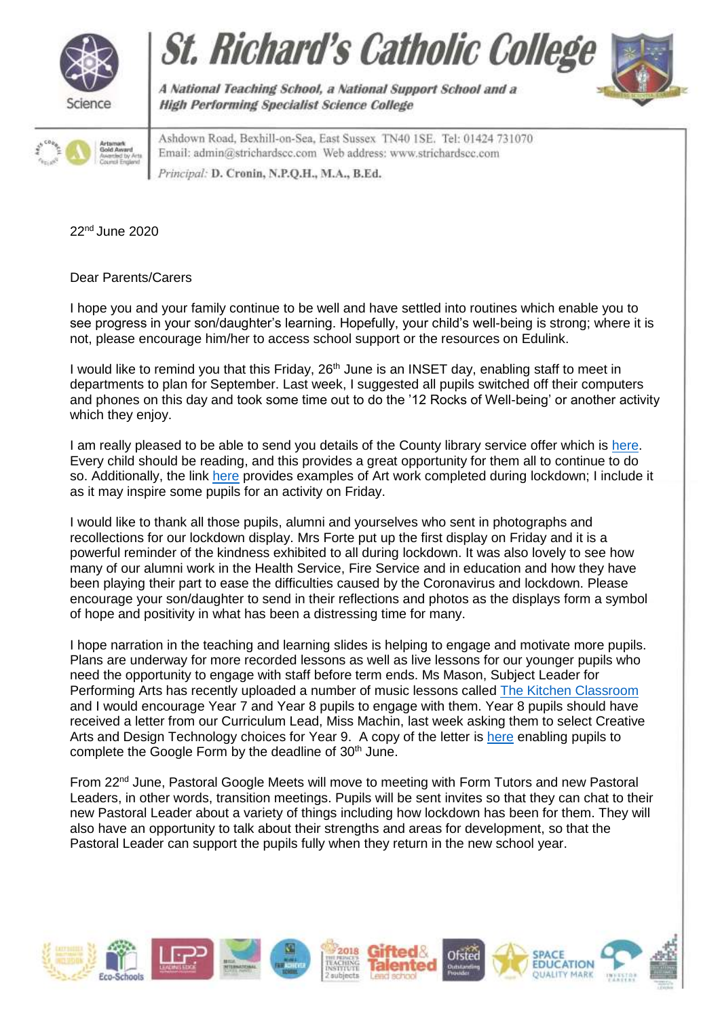







A National Teaching School, a National Support School and a **High Performing Specialist Science College** 

Ashdown Road, Bexhill-on-Sea, East Sussex TN40 1SE. Tel: 01424 731070 Email: admin@strichardscc.com Web address: www.strichardscc.com Principal: D. Cronin, N.P.O.H., M.A., B.Ed.

22nd June 2020

Dear Parents/Carers

I hope you and your family continue to be well and have settled into routines which enable you to see progress in your son/daughter's learning. Hopefully, your child's well-being is strong; where it is not, please encourage him/her to access school support or the resources on Edulink.

I would like to remind you that this Friday, 26<sup>th</sup> June is an INSET day, enabling staff to meet in departments to plan for September. Last week, I suggested all pupils switched off their computers and phones on this day and took some time out to do the '12 Rocks of Well-being' or another activity which they enjoy.

I am really pleased to be able to send you details of the County library service offer which is [here.](https://www.eastsussex.gov.uk/libraries/online/ebooks-audiobooks/ebooks/) Every child should be reading, and this provides a great opportunity for them all to continue to do so. Additionally, the link [here](https://drive.google.com/drive/folders/1Ev2Vpy6ZUVJd-QwQSoOrFeAFAgu6BuL3?usp=sharing) provides examples of Art work completed during lockdown; I include it as it may inspire some pupils for an activity on Friday.

I would like to thank all those pupils, alumni and yourselves who sent in photographs and recollections for our lockdown display. Mrs Forte put up the first display on Friday and it is a powerful reminder of the kindness exhibited to all during lockdown. It was also lovely to see how many of our alumni work in the Health Service, Fire Service and in education and how they have been playing their part to ease the difficulties caused by the Coronavirus and lockdown. Please encourage your son/daughter to send in their reflections and photos as the displays form a symbol of hope and positivity in what has been a distressing time for many.

I hope narration in the teaching and learning slides is helping to engage and motivate more pupils. Plans are underway for more recorded lessons as well as live lessons for our younger pupils who need the opportunity to engage with staff before term ends. Ms Mason, Subject Leader for Performing Arts has recently uploaded a number of music lessons called [The Kitchen Classroom](https://drive.google.com/drive/folders/1FCB4NDDVzazbi5uDs96uXVnqIaTXJOo-?usp=sharing) and I would encourage Year 7 and Year 8 pupils to engage with them. Year 8 pupils should have received a letter from our Curriculum Lead, Miss Machin, last week asking them to select Creative Arts and Design Technology choices for Year 9. A copy of the letter is [here](https://drive.google.com/file/d/1ZvY6rU9HSHx3_yHxly7r9u976-YevhFd/view?usp=sharing) enabling pupils to complete the Google Form by the deadline of 30<sup>th</sup> June.

From 22<sup>nd</sup> June, Pastoral Google Meets will move to meeting with Form Tutors and new Pastoral Leaders, in other words, transition meetings. Pupils will be sent invites so that they can chat to their new Pastoral Leader about a variety of things including how lockdown has been for them. They will also have an opportunity to talk about their strengths and areas for development, so that the Pastoral Leader can support the pupils fully when they return in the new school year.